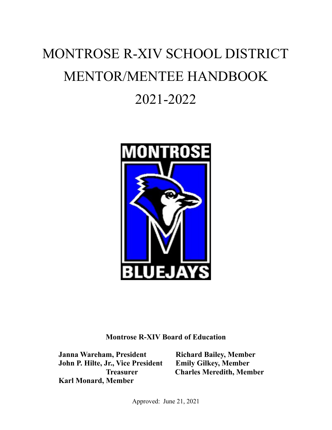# MONTROSE R-XIV SCHOOL DISTRICT MENTOR/MENTEE HANDBOOK 2021-2022



**Montrose R-XIV Board of Education**

**Janna Wareham, President Richard Bailey, Member John P. Hilte, Jr., Vice President Emily Gilkey, Member Karl Monard, Member**

**Treasurer Charles Meredith, Member**

Approved: June 21, 2021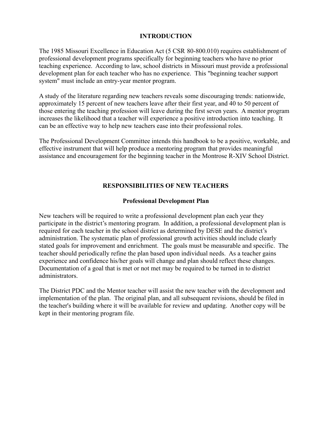#### **INTRODUCTION**

The 1985 Missouri Excellence in Education Act (5 CSR 80-800.010) requires establishment of professional development programs specifically for beginning teachers who have no prior teaching experience. According to law, school districts in Missouri must provide a professional development plan for each teacher who has no experience. This "beginning teacher support system" must include an entry-year mentor program.

A study of the literature regarding new teachers reveals some discouraging trends: nationwide, approximately 15 percent of new teachers leave after their first year, and 40 to 50 percent of those entering the teaching profession will leave during the first seven years. A mentor program increases the likelihood that a teacher will experience a positive introduction into teaching. It can be an effective way to help new teachers ease into their professional roles.

The Professional Development Committee intends this handbook to be a positive, workable, and effective instrument that will help produce a mentoring program that provides meaningful assistance and encouragement for the beginning teacher in the Montrose R-XIV School District.

### **RESPONSIBILITIES OF NEW TEACHERS**

#### **Professional Development Plan**

New teachers will be required to write a professional development plan each year they participate in the district's mentoring program. In addition, a professional development plan is required for each teacher in the school district as determined by DESE and the district's administration. The systematic plan of professional growth activities should include clearly stated goals for improvement and enrichment. The goals must be measurable and specific. The teacher should periodically refine the plan based upon individual needs. As a teacher gains experience and confidence his/her goals will change and plan should reflect these changes. Documentation of a goal that is met or not met may be required to be turned in to district administrators.

The District PDC and the Mentor teacher will assist the new teacher with the development and implementation of the plan. The original plan, and all subsequent revisions, should be filed in the teacher's building where it will be available for review and updating. Another copy will be kept in their mentoring program file.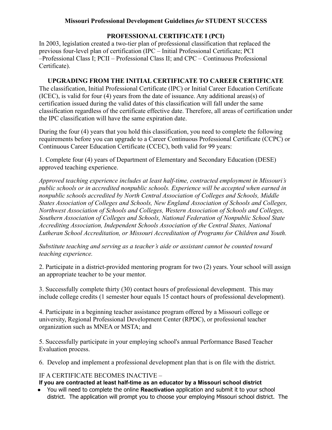### **Missouri Professional Development Guidelines** *for* **STUDENT SUCCESS**

### **PROFESSIONAL CERTIFICATE I (PCI)**

In 2003, legislation created a two-tier plan of professional classification that replaced the previous four-level plan of certification (IPC – Initial Professional Certificate; PCI –Professional Class I; PCII – Professional Class II; and CPC – Continuous Professional Certificate).

### **UPGRADING FROM THE INITIAL CERTIFICATE TO CAREER CERTIFICATE**

The classification, Initial Professional Certificate (IPC) or Initial Career Education Certificate (ICEC), is valid for four (4) years from the date of issuance. Any additional areas(s) of certification issued during the valid dates of this classification will fall under the same classification regardless of the certificate effective date. Therefore, all areas of certification under the IPC classification will have the same expiration date.

During the four (4) years that you hold this classification, you need to complete the following requirements before you can upgrade to a Career Continuous Professional Certificate (CCPC) or Continuous Career Education Certificate (CCEC), both valid for 99 years:

1. Complete four (4) years of Department of Elementary and Secondary Education (DESE) approved teaching experience.

*Approved teaching experience includes at least half-time, contracted employment in Missouri's public schools or in accredited nonpublic schools. Experience will be accepted when earned in nonpublic schools accredited by North Central Association of Colleges and Schools, Middle States Association of Colleges and Schools, New England Association of Schools and Colleges, Northwest Association of Schools and Colleges, Western Association of Schools and Colleges, Southern Association of Colleges and Schools, National Federation of Nonpublic School State Accrediting Association, Independent Schools Association of the Central States, National Lutheran School Accreditation, or Missouri Accreditation of Programs for Children and Youth.*

*Substitute teaching and serving as a teacher's aide or assistant cannot be counted toward teaching experience.*

2. Participate in a district-provided mentoring program for two (2) years. Your school will assign an appropriate teacher to be your mentor.

3. Successfully complete thirty (30) contact hours of professional development. This may include college credits (1 semester hour equals 15 contact hours of professional development).

4. Participate in a beginning teacher assistance program offered by a Missouri college or university, Regional Professional Development Center (RPDC), or professional teacher organization such as MNEA or MSTA; and

5. Successfully participate in your employing school's annual Performance Based Teacher Evaluation process.

6. Develop and implement a professional development plan that is on file with the district.

### IF A CERTIFICATE BECOMES INACTIVE –

### **If you are contracted at least half-time as an educator by a Missouri school district**

● You will need to complete the online **[Reactivation](https://apps.dese.mo.gov/weblogin/login.aspx)** application and submit it to your school district. The application will prompt you to choose your employing Missouri school district. The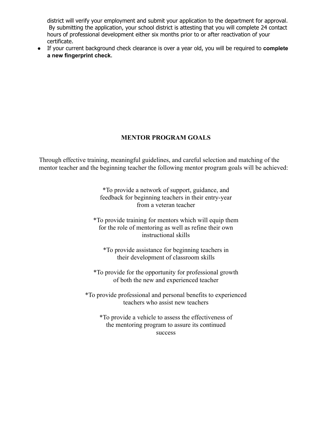district will verify your employment and submit your application to the department for approval. By submitting the application, your school district is attesting that you will complete 24 contact hours of professional development either six months prior to or after reactivation of your certificate.

● If your current background check clearance is over a year old, you will be required to **[complete](https://dese.mo.gov/educator-quality/certification/fingerprintingbackground-check) [a new fingerprint check](https://dese.mo.gov/educator-quality/certification/fingerprintingbackground-check)**.

### **MENTOR PROGRAM GOALS**

Through effective training, meaningful guidelines, and careful selection and matching of the mentor teacher and the beginning teacher the following mentor program goals will be achieved:

> \*To provide a network of support, guidance, and feedback for beginning teachers in their entry-year from a veteran teacher

\*To provide training for mentors which will equip them for the role of mentoring as well as refine their own instructional skills

\*To provide assistance for beginning teachers in their development of classroom skills

\*To provide for the opportunity for professional growth of both the new and experienced teacher

\*To provide professional and personal benefits to experienced teachers who assist new teachers

\*To provide a vehicle to assess the effectiveness of the mentoring program to assure its continued success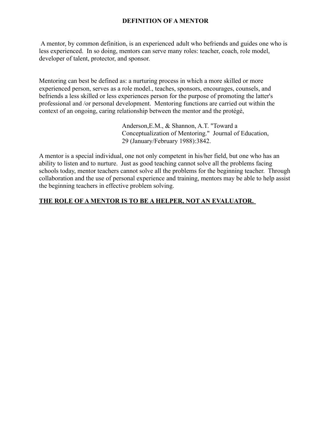### **DEFINITION OF A MENTOR**

A mentor, by common definition, is an experienced adult who befriends and guides one who is less experienced. In so doing, mentors can serve many roles: teacher, coach, role model, developer of talent, protector, and sponsor.

Mentoring can best be defined as: a nurturing process in which a more skilled or more experienced person, serves as a role model., teaches, sponsors, encourages, counsels, and befriends a less skilled or less experiences person for the purpose of promoting the latter's professional and /or personal development. Mentoring functions are carried out within the context of an ongoing, caring relationship between the mentor and the protégé,

> Anderson,E.M., & Shannon, A.T. "Toward a Conceptualization of Mentoring." Journal of Education, 29 (January/February 1988):3842.

A mentor is a special individual, one not only competent in his/her field, but one who has an ability to listen and to nurture. Just as good teaching cannot solve all the problems facing schools today, mentor teachers cannot solve all the problems for the beginning teacher. Through collaboration and the use of personal experience and training, mentors may be able to help assist the beginning teachers in effective problem solving.

### **THE ROLE OF A MENTOR IS TO BE A HELPER, NOT AN EVALUATOR.**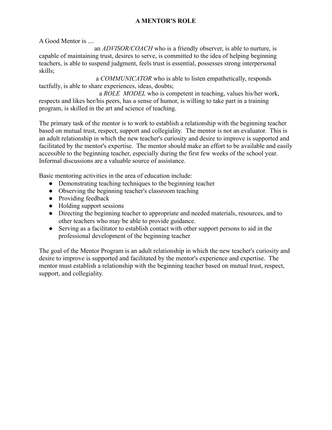### **A MENTOR'S ROLE**

A Good Mentor is ....

an *ADVISOR/COACH* who is a friendly observer, is able to nurture, is capable of maintaining trust, desires to serve, is committed to the idea of helping beginning teachers, is able to suspend judgment, feels trust is essential, possesses strong interpersonal skills;

a *COMMUNICATOR* who is able to listen empathetically, responds tactfully, is able to share experiences, ideas, doubts;

a *ROLE MODEL* who is competent in teaching, values his/her work, respects and likes her/his peers, has a sense of humor, is willing to take part in a training program, is skilled in the art and science of teaching.

The primary task of the mentor is to work to establish a relationship with the beginning teacher based on mutual trust, respect, support and collegiality. The mentor is not an evaluator. This is an adult relationship in which the new teacher's curiosity and desire to improve is supported and facilitated by the mentor's expertise. The mentor should make an effort to be available and easily accessible to the beginning teacher, especially during the first few weeks of the school year. Informal discussions are a valuable source of assistance.

Basic mentoring activities in the area of education include:

- Demonstrating teaching techniques to the beginning teacher
- Observing the beginning teacher's classroom teaching
- Providing feedback
- Holding support sessions
- Directing the beginning teacher to appropriate and needed materials, resources, and to other teachers who may be able to provide guidance.
- Serving as a facilitator to establish contact with other support persons to aid in the professional development of the beginning teacher

The goal of the Mentor Program is an adult relationship in which the new teacher's curiosity and desire to improve is supported and facilitated by the mentor's experience and expertise. The mentor must establish a relationship with the beginning teacher based on mutual trust, respect, support, and collegiality.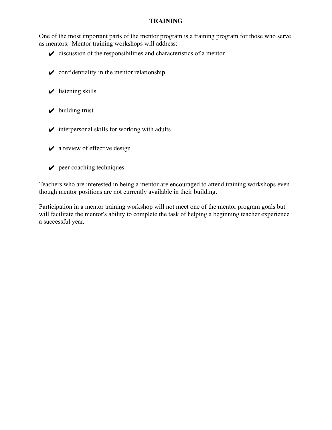#### **TRAINING**

One of the most important parts of the mentor program is a training program for those who serve as mentors. Mentor training workshops will address:

- $\vee$  discussion of the responsibilities and characteristics of a mentor
- $\triangleright$  confidentiality in the mentor relationship
- $\checkmark$  listening skills
- $\vee$  building trust
- $\triangleright$  interpersonal skills for working with adults
- $\vee$  a review of effective design
- $\vee$  peer coaching techniques

Teachers who are interested in being a mentor are encouraged to attend training workshops even though mentor positions are not currently available in their building.

Participation in a mentor training workshop will not meet one of the mentor program goals but will facilitate the mentor's ability to complete the task of helping a beginning teacher experience a successful year.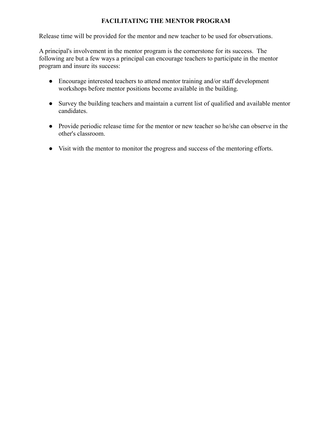### **FACILITATING THE MENTOR PROGRAM**

Release time will be provided for the mentor and new teacher to be used for observations.

A principal's involvement in the mentor program is the cornerstone for its success. The following are but a few ways a principal can encourage teachers to participate in the mentor program and insure its success:

- Encourage interested teachers to attend mentor training and/or staff development workshops before mentor positions become available in the building.
- Survey the building teachers and maintain a current list of qualified and available mentor candidates.
- Provide periodic release time for the mentor or new teacher so he/she can observe in the other's classroom.
- Visit with the mentor to monitor the progress and success of the mentoring efforts.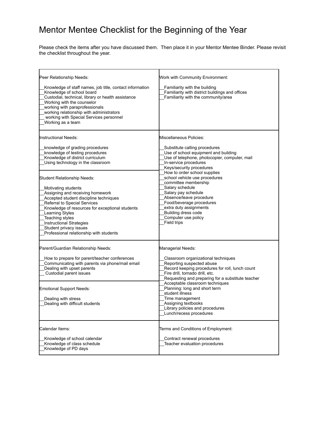### Mentor Mentee Checklist for the Beginning of the Year

Please check the items after you have discussed them. Then place it in your Mentor Mentee Binder. Please revisit the checklist throughout the year.

| Peer Relationship Needs:<br>Knowledge of staff names, job title, contact information<br>Knowledge of school board<br>Custodial, technical, library or health assistance<br>Working with the counselor<br>working with paraprofessionals<br>working relationship with administrators<br>working with Special Services personnel<br>Working as a team                             | <b>Work with Community Environment:</b><br>Familiarity with the building<br>Familiarity with district buildings and offices<br>Familiarity with the community/area                                                                                                                                                                                                                                                              |
|---------------------------------------------------------------------------------------------------------------------------------------------------------------------------------------------------------------------------------------------------------------------------------------------------------------------------------------------------------------------------------|---------------------------------------------------------------------------------------------------------------------------------------------------------------------------------------------------------------------------------------------------------------------------------------------------------------------------------------------------------------------------------------------------------------------------------|
| Instructional Needs:<br>knowledge of grading procedures<br>knowledge of testing procedures<br>Knowledge of district curriculum<br>Using technology in the classroom                                                                                                                                                                                                             | Miscellaneous Policies:<br>Substitute calling procedures<br>Use of school equipment and building<br>Use of telephone, photocopier, computer, mail<br>In-service procedures<br>Keys/security procedures                                                                                                                                                                                                                          |
| <b>Student Relationship Needs:</b><br>Motivating students<br>Assigning and receiving homework<br>Accepted student discipline techniques<br>Referral to Special Services<br>Knowledge of resources for exceptional students<br><b>Learning Styles</b><br>Teaching styles<br><b>Instructional Strategies</b><br>Student privacy issues<br>Professional relationship with students | How to order school supplies<br>school vehicle use procedures<br>committee membership<br>Salary schedule<br>Salary pay schedule<br>Absence/leave procedure<br>Food/beverage procedures<br>extra duty assignments<br>Building dress code<br>Computer use policy<br>Field trips                                                                                                                                                   |
| Parent/Guardian Relationship Needs:<br>How to prepare for parent/teacher conferences<br>Communicating with parents via phone/mail email<br>Dealing with upset parents<br>Custodial parent issues<br><b>Emotional Support Needs:</b><br>Dealing with stress<br>Dealing with difficult students                                                                                   | Managerial Needs:<br>Classroom organizational techniques<br>Reporting suspected abuse<br>Record keeping procedures for roll, lunch count<br>Fire drill, tornado drill, etc.<br>Requesting and preparing for a substitute teacher<br>Acceptable classroom techniques<br>Planning: long and short term<br>student illness<br>Time management<br>Assigning textbooks<br>Library policies and procedures<br>Lunch/recess procedures |
| Calendar Items:<br>Knowledge of school calendar<br>Knowledge of class schedule<br>Knowledge of PD days                                                                                                                                                                                                                                                                          | Terms and Conditions of Employment:<br>Contract renewal procedures<br>Teacher evaluation procedures                                                                                                                                                                                                                                                                                                                             |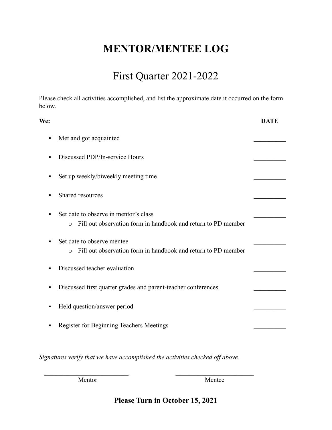### First Quarter 2021-2022

Please check all activities accomplished, and list the approximate date it occurred on the form below.

| We: |                                                                                                                    | <b>DATE</b> |
|-----|--------------------------------------------------------------------------------------------------------------------|-------------|
| ٠   | Met and got acquainted                                                                                             |             |
|     | Discussed PDP/In-service Hours                                                                                     |             |
|     | Set up weekly/biweekly meeting time                                                                                |             |
|     | Shared resources                                                                                                   |             |
|     | Set date to observe in mentor's class<br>Fill out observation form in handbook and return to PD member<br>$\Omega$ |             |
|     | Set date to observe mentee<br>Fill out observation form in handbook and return to PD member<br>$\Omega$            |             |
|     | Discussed teacher evaluation                                                                                       |             |
|     | Discussed first quarter grades and parent-teacher conferences                                                      |             |
| ٠   | Held question/answer period                                                                                        |             |
| ٠   | Register for Beginning Teachers Meetings                                                                           |             |
|     |                                                                                                                    |             |
|     |                                                                                                                    |             |

*Signatures verify that we have accomplished the activities checked off above.*

 $\mathcal{L}_\text{max}$  and the contract of the contract of the contract of the contract of the contract of the contract of the contract of the contract of the contract of the contract of the contract of the contract of the contrac Mentor Mentee

**Please Turn in October 15, 2021**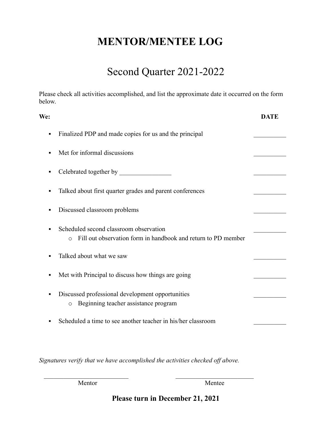### Second Quarter 2021-2022

Please check all activities accomplished, and list the approximate date it occurred on the form below.

| We:                                                                                                                  | <b>DATE</b> |
|----------------------------------------------------------------------------------------------------------------------|-------------|
| Finalized PDP and made copies for us and the principal<br>٠                                                          |             |
| Met for informal discussions                                                                                         |             |
| ٠                                                                                                                    |             |
| Talked about first quarter grades and parent conferences<br>п                                                        |             |
| Discussed classroom problems                                                                                         |             |
| Scheduled second classroom observation<br>Fill out observation form in handbook and return to PD member<br>$\bigcap$ |             |
| Talked about what we saw                                                                                             |             |
| Met with Principal to discuss how things are going<br>п                                                              |             |
| Discussed professional development opportunities<br>Beginning teacher assistance program<br>$\circ$                  |             |
| Scheduled a time to see another teacher in his/her classroom                                                         |             |

*Signatures verify that we have accomplished the activities checked off above.*

 $\mathcal{L}_\text{max}$  , and the contract of the contract of the contract of the contract of the contract of the contract of the contract of the contract of the contract of the contract of the contract of the contract of the contr

Mentor Mentee

**Please turn in December 21, 2021**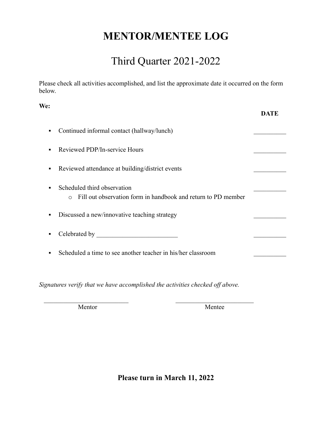### Third Quarter 2021-2022

Please check all activities accomplished, and list the approximate date it occurred on the form below.

| We:            |                                                                                                         | DATE |
|----------------|---------------------------------------------------------------------------------------------------------|------|
| ٠              | Continued informal contact (hallway/lunch)                                                              |      |
| $\blacksquare$ | Reviewed PDP/In-service Hours                                                                           |      |
| ٠              | Reviewed attendance at building/district events                                                         |      |
| $\blacksquare$ | Scheduled third observation<br>Fill out observation form in handbook and return to PD member<br>$\circ$ |      |
| ٠              | Discussed a new/innovative teaching strategy                                                            |      |
| ٠              |                                                                                                         |      |
| п              | Scheduled a time to see another teacher in his/her classroom                                            |      |

*Signatures verify that we have accomplished the activities checked off above.*

 $\mathcal{L}_\text{max}$  , and the contract of the contract of the contract of the contract of the contract of the contract of the contract of the contract of the contract of the contract of the contract of the contract of the contr

Mentor Mentee

**Please turn in March 11, 2022**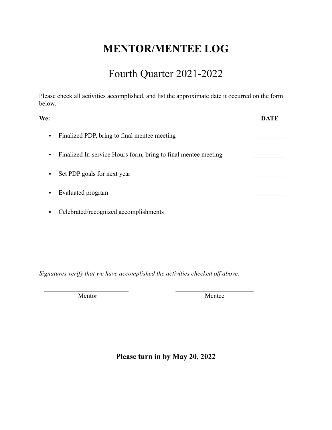### Fourth Quarter 2021-2022

Please check all activities accomplished, and list the approximate date it occurred on the form below.

| We:                                                                 | <b>DATE</b> |
|---------------------------------------------------------------------|-------------|
| Finalized PDP, bring to final mentee meeting<br>$\blacksquare$      |             |
| Finalized In-service Hours form, bring to final mentee meeting<br>٠ |             |
| Set PDP goals for next year<br>$\blacksquare$                       |             |
| Evaluated program                                                   |             |
| Celebrated/recognized accomplishments                               |             |
|                                                                     |             |

*Signatures verify that we have accomplished the activities checked off above.*

 $\mathcal{L}_\text{max}$  , and the contract of the contract of the contract of the contract of the contract of the contract of the contract of the contract of the contract of the contract of the contract of the contract of the contr

Mentor Mentee

**Please turn in by May 20, 2022**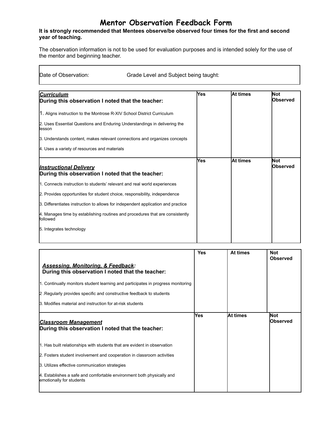### **Mentor Observation Feedback Form**

#### **It is strongly recommended that Mentees observe/be observed four times for the first and second year of teaching.**

The observation information is not to be used for evaluation purposes and is intended solely for the use of the mentor and beginning teacher.

Date of Observation: Grade Level and Subject being taught:

| <b>Curriculum</b>                                                                         | Yes | <b>At times</b> | <b>Not</b>      |
|-------------------------------------------------------------------------------------------|-----|-----------------|-----------------|
| During this observation I noted that the teacher:                                         |     |                 | <b>Observed</b> |
| 11. Aligns instruction to the Montrose R-XIV School District Curriculum                   |     |                 |                 |
| 2. Uses Essential Questions and Enduring Understandings in delivering the<br>lesson       |     |                 |                 |
| 3. Understands content, makes relevant connections and organizes concepts                 |     |                 |                 |
| 4. Uses a variety of resources and materials                                              |     |                 |                 |
|                                                                                           | Yes | At times        | <b>Not</b>      |
| <b>Instructional Delivery</b><br>During this observation I noted that the teacher:        |     |                 | <b>Observed</b> |
| 1. Connects instruction to students' relevant and real world experiences                  |     |                 |                 |
| 2. Provides opportunities for student choice, responsibility, independence                |     |                 |                 |
| 3. Differentiates instruction to allows for independent application and practice          |     |                 |                 |
| 4. Manages time by establishing routines and procedures that are consistently<br>followed |     |                 |                 |
| 5. Integrates technology                                                                  |     |                 |                 |

| <b>Assessing, Monitoring, &amp; Feedback:</b><br>During this observation I noted that the teacher:<br>1. Continually monitors student learning and participates in progress monitoring<br>2. Regularly provides specific and constructive feedback to students<br>3. Modifies material and instruction for at-risk students | <b>Yes</b> | At times | <b>Not</b><br><b>Observed</b> |
|-----------------------------------------------------------------------------------------------------------------------------------------------------------------------------------------------------------------------------------------------------------------------------------------------------------------------------|------------|----------|-------------------------------|
| <b>Classroom Management</b><br>During this observation I noted that the teacher:                                                                                                                                                                                                                                            | Yes        | At times | <b>Not</b><br><b>Observed</b> |
| 1. Has built relationships with students that are evident in observation                                                                                                                                                                                                                                                    |            |          |                               |
| 2. Fosters student involvement and cooperation in classroom activities                                                                                                                                                                                                                                                      |            |          |                               |
| 3. Utilizes effective communication strategies                                                                                                                                                                                                                                                                              |            |          |                               |
| 4. Establishes a safe and comfortable environment both physically and<br>emotionally for students                                                                                                                                                                                                                           |            |          |                               |